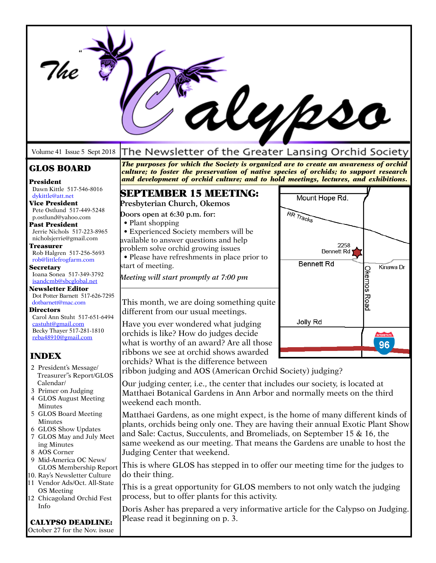|                                                                                                                                                                                                                                                                                                                                                                                                                                                                                                                                                                                                                      | alypso                                                                                                                                                                                                                                                                                                                                                                                                                                                                                                                                                                                                                                                                                                                                                                                                                  |                                                                         |                                                            |  |
|----------------------------------------------------------------------------------------------------------------------------------------------------------------------------------------------------------------------------------------------------------------------------------------------------------------------------------------------------------------------------------------------------------------------------------------------------------------------------------------------------------------------------------------------------------------------------------------------------------------------|-------------------------------------------------------------------------------------------------------------------------------------------------------------------------------------------------------------------------------------------------------------------------------------------------------------------------------------------------------------------------------------------------------------------------------------------------------------------------------------------------------------------------------------------------------------------------------------------------------------------------------------------------------------------------------------------------------------------------------------------------------------------------------------------------------------------------|-------------------------------------------------------------------------|------------------------------------------------------------|--|
| Volume 41 Issue 5 Sept 2018                                                                                                                                                                                                                                                                                                                                                                                                                                                                                                                                                                                          | The Newsletter of the Greater Lansing Orchid Society                                                                                                                                                                                                                                                                                                                                                                                                                                                                                                                                                                                                                                                                                                                                                                    |                                                                         |                                                            |  |
| <b>GLOS BOARD</b><br>President                                                                                                                                                                                                                                                                                                                                                                                                                                                                                                                                                                                       | The purposes for which the Society is organized are to create an awareness of orchid<br>culture; to foster the preservation of native species of orchids; to support research<br>and development of orchid culture; and to hold meetings, lectures, and exhibitions.                                                                                                                                                                                                                                                                                                                                                                                                                                                                                                                                                    |                                                                         |                                                            |  |
| Dawn Kittle 517-546-8016<br>dykittle@att.net                                                                                                                                                                                                                                                                                                                                                                                                                                                                                                                                                                         | <b>SEPTEMBER 15 MEETING:</b>                                                                                                                                                                                                                                                                                                                                                                                                                                                                                                                                                                                                                                                                                                                                                                                            | Mount Hope Rd.                                                          |                                                            |  |
| <b>Vice President</b><br>Pete Ostlund 517-449-5248<br>p.ostlund@yahoo.com<br><b>Past President</b><br>Jerrie Nichols 517-223-8965<br>nicholsjerrie@gmail.com<br><b>Treasurer</b><br>Rob Halgren 517-256-5693<br>rob@littlefrogfarm.com<br><b>Secretary</b><br>Ioana Sonea 517-349-3792<br>isandcmb@sbcglobal.net<br><b>Newsletter Editor</b><br>Dot Potter Barnett 517-626-7295<br>dotbarnett@mac.com<br><b>Directors</b><br>Carol Ann Stuht 517-651-6494<br>castuht@gmail.com<br>Becky Thayer 517-281-1810<br>reba48910@gmail.com<br><b>INDEX</b><br>2 President's Message/<br>Treasurer"s Report/GLOS<br>Calendar/ | Presbyterian Church, Okemos<br>Doors open at 6:30 p.m. for:<br>• Plant shopping<br>• Experienced Society members will be<br>available to answer questions and help<br>problem solve orchid growing issues<br>• Please have refreshments in place prior to<br>start of meeting.<br>Meeting will start promptly at 7:00 pm<br>This month, we are doing something quite<br>different from our usual meetings.<br>Have you ever wondered what judging<br>orchids is like? How do judges decide<br>what is worthy of an award? Are all those<br>ribbons we see at orchid shows awarded<br>orchids? What is the difference between<br>ribbon judging and AOS (American Orchid Society) judging?<br>Our judging center, i.e., the center that includes our society, is located at                                              | RR Tracks<br>2258<br><b>Bennett Rd</b><br><b>Bennett Rd</b><br>Jolly Rd | Kinawa Dr<br><b>Okemos Road</b><br><b>INTERSTATE</b><br>96 |  |
| 3 Primer on Judging<br>4 GLOS August Meeting<br><b>Minutes</b><br>5 GLOS Board Meeting<br>Minutes<br>6 GLOS Show Updates<br>7 GLOS May and July Meet<br>ing Minutes<br>8 AOS Corner<br>9 Mid-America OC News/<br>GLOS Membership Report<br>10. Ray's Newsletter Culture<br>11 Vendor Ads/Oct. All-State<br><b>OS</b> Meeting<br>12 Chicagoland Orchid Fest<br>Info<br><b>CALYPSO DEADLINE:</b><br>October 27 for the Nov. issue                                                                                                                                                                                      | Matthaei Botanical Gardens in Ann Arbor and normally meets on the third<br>weekend each month.<br>Matthaei Gardens, as one might expect, is the home of many different kinds of<br>plants, orchids being only one. They are having their annual Exotic Plant Show<br>and Sale: Cactus, Succulents, and Bromeliads, on September 15 & 16, the<br>same weekend as our meeting. That means the Gardens are unable to host the<br>Judging Center that weekend.<br>This is where GLOS has stepped in to offer our meeting time for the judges to<br>do their thing.<br>This is a great opportunity for GLOS members to not only watch the judging<br>process, but to offer plants for this activity.<br>Doris Asher has prepared a very informative article for the Calypso on Judging.<br>Please read it beginning on p. 3. |                                                                         |                                                            |  |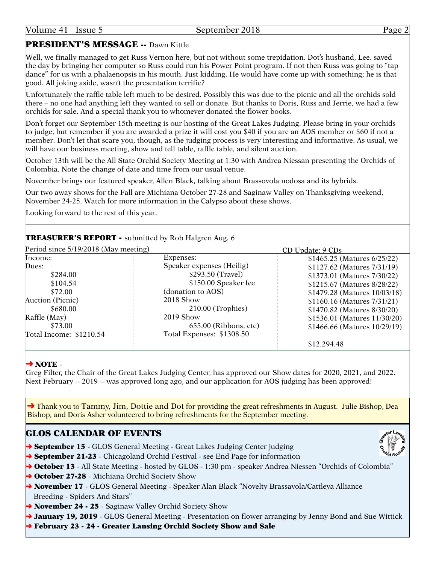## PRESIDENT'S MESSAGE -- Dawn Kittle

Well, we finally managed to get Russ Vernon here, but not without some trepidation. Dot's husband, Lee. saved the day by bringing her computer so Russ could run his Power Point program. If not then Russ was going to "tap dance" for us with a phalaenopsis in his mouth. Just kidding. He would have come up with something; he is that good. All joking aside, wasn't the presentation terrific?

Unfortunately the raffle table left much to be desired. Possibly this was due to the picnic and all the orchids sold there – no one had anything left they wanted to sell or donate. But thanks to Doris, Russ and Jerrie, we had a few orchids for sale. And a special thank you to whomever donated the flower books.

Don't forget our September 15th meeting is our hosting of the Great Lakes Judging. Please bring in your orchids to judge; but remember if you are awarded a prize it will cost you \$40 if you are an AOS member or \$60 if not a member. Don't let that scare you, though, as the judging process is very interesting and informative. As usual, we will have our business meeting, show and tell table, raffle table, and silent auction.

October 13th will be the All State Orchid Society Meeting at 1:30 with Andrea Niessan presenting the Orchids of Colombia. Note the change of date and time from our usual venue.

November brings our featured speaker, Allen Black, talking about Brassovola nodosa and its hybrids.

Our two away shows for the Fall are Michiana October 27-28 and Saginaw Valley on Thanksgiving weekend, November 24-25. Watch for more information in the Calypso about these shows.

Looking forward to the rest of this year.

## TREASURER'S REPORT - submitted by Rob Halgren Aug. 6

| Period since 5/19/2018 (May meeting) |                           | CD Update: 9 CDs             |  |
|--------------------------------------|---------------------------|------------------------------|--|
| Income:                              | Expenses:                 | \$1465.25 (Matures 6/25/22)  |  |
| Dues:                                | Speaker expenses (Heilig) | \$1127.62 (Matures 7/31/19)  |  |
| \$284.00                             | \$293.50 (Travel)         | \$1373.01 (Matures 7/30/22)  |  |
| \$104.54                             | \$150.00 Speaker fee      | \$1215.67 (Matures 8/28/22)  |  |
| \$72.00                              | (donation to AOS)         | \$1479.28 (Matures 10/03/18) |  |
| Auction (Picnic)                     | 2018 Show                 | \$1160.16 (Matures 7/31/21)  |  |
| \$680.00                             | $210.00$ (Trophies)       | \$1470.82 (Matures 8/30/20)  |  |
| Raffle (May)                         | 2019 Show                 | \$1536.01 (Matures 11/30/20) |  |
| \$73.00                              | 655.00 (Ribbons, etc)     | \$1466.66 (Matures 10/29/19) |  |
| Total Income: \$1210.54              | Total Expenses: \$1308.50 |                              |  |
|                                      |                           | \$12.294.48                  |  |

#### $\rightarrow$  NOTE -

Greg Filter, the Chair of the Great Lakes Judging Center, has approved our Show dates for 2020, 2021, and 2022. Next February -- 2019 -- was approved long ago, and our application for AOS judging has been approved!

→ Thank you to Tammy, Jim, Dottie and Dot for providing the great refreshments in August. Julie Bishop, Dea Bishop, and Doris Asher volunteered to bring refreshments for the September meeting.

## GLOS CALENDAR OF EVENTS

- **→ September 15** GLOS General Meeting Great Lakes Judging Center judging
- → September 21-23 Chicagoland Orchid Festival see End Page for information
- → October 13 All State Meeting hosted by GLOS 1:30 pm speaker Andrea Niessen "Orchids of Colombia"
- → October 27-28 Michiana Orchid Society Show
- → November 17 GLOS General Meeting Speaker Alan Black "Novelty Brassavola/Cattleya Alliance Breeding - Spiders And Stars"
- → November 24 25 Saginaw Valley Orchid Society Show
- → January 19, 2019 GLOS General Meeting Presentation on flower arranging by Jenny Bond and Sue Wittick
- ➜ February 23 24 Greater Lansing Orchid Society Show and Sale

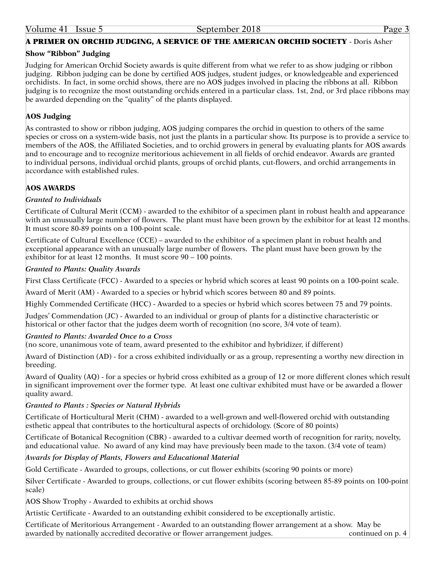## A PRIMER ON ORCHID JUDGING, A SERVICE OF THE AMERICAN ORCHID SOCIETY - Doris Asher

#### **Show "Ribbon" Judging**

Judging for American Orchid Society awards is quite different from what we refer to as show judging or ribbon judging. Ribbon judging can be done by certified AOS judges, student judges, or knowledgeable and experienced orchidists. In fact, in some orchid shows, there are no AOS judges involved in placing the ribbons at all. Ribbon judging is to recognize the most outstanding orchids entered in a particular class. 1st, 2nd, or 3rd place ribbons may be awarded depending on the "quality" of the plants displayed.

#### **AOS Judging**

As contrasted to show or ribbon judging, AOS judging compares the orchid in question to others of the same species or cross on a system-wide basis, not just the plants in a particular show. Its purpose is to provide a service to members of the AOS, the Affiliated Societies, and to orchid growers in general by evaluating plants for AOS awards and to encourage and to recognize meritorious achievement in all fields of orchid endeavor. Awards are granted to individual persons, individual orchid plants, groups of orchid plants, cut-flowers, and orchid arrangements in accordance with established rules.

#### **AOS AWARDS**

#### *Granted to Individuals*

Certificate of Cultural Merit (CCM) - awarded to the exhibitor of a specimen plant in robust health and appearance with an unusually large number of flowers. The plant must have been grown by the exhibitor for at least 12 months. It must score 80-89 points on a 100-point scale.

Certificate of Cultural Excellence (CCE) – awarded to the exhibitor of a specimen plant in robust health and exceptional appearance with an unusually large number of flowers. The plant must have been grown by the exhibitor for at least 12 months. It must score 90 – 100 points.

#### *Granted to Plants: Quality Awards*

First Class Certificate (FCC) - Awarded to a species or hybrid which scores at least 90 points on a 100-point scale.

Award of Merit (AM) - Awarded to a species or hybrid which scores between 80 and 89 points.

Highly Commended Certificate (HCC) - Awarded to a species or hybrid which scores between 75 and 79 points.

Judges' Commendation (JC) - Awarded to an individual or group of plants for a distinctive characteristic or historical or other factor that the judges deem worth of recognition (no score, 3/4 vote of team).

#### *Granted to Plants: Awarded Once to a Cross*

(no score, unanimous vote of team, award presented to the exhibitor and hybridizer, if different)

Award of Distinction (AD) - for a cross exhibited individually or as a group, representing a worthy new direction in breeding.

Award of Quality (AQ) - for a species or hybrid cross exhibited as a group of 12 or more different clones which result in significant improvement over the former type. At least one cultivar exhibited must have or be awarded a flower quality award.

#### *Granted to Plants : Species or Natural Hybrids*

Certificate of Horticultural Merit (CHM) - awarded to a well-grown and well-flowered orchid with outstanding esthetic appeal that contributes to the horticultural aspects of orchidology. (Score of 80 points)

Certificate of Botanical Recognition (CBR) - awarded to a cultivar deemed worth of recognition for rarity, novelty, and educational value. No award of any kind may have previously been made to the taxon. (3/4 vote of team)

*Awards for Display of Plants, Flowers and Educational Material*

Gold Certificate - Awarded to groups, collections, or cut flower exhibits (scoring 90 points or more)

Silver Certificate - Awarded to groups, collections, or cut flower exhibits (scoring between 85-89 points on 100-point scale)

AOS Show Trophy - Awarded to exhibits at orchid shows

Artistic Certificate - Awarded to an outstanding exhibit considered to be exceptionally artistic.

Certificate of Meritorious Arrangement - Awarded to an outstanding flower arrangement at a show. May be awarded by nationally accredited decorative or flower arrangement judges. continued on p. 4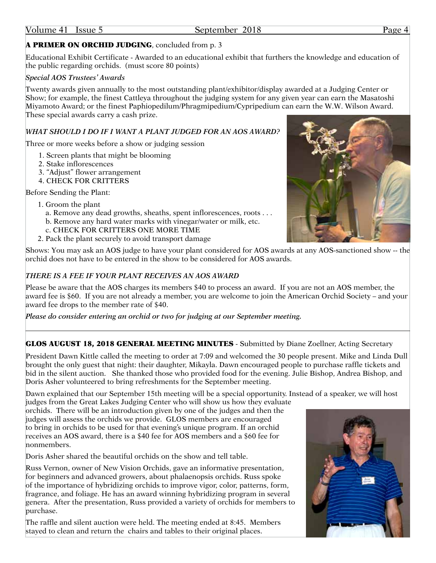## A PRIMER ON ORCHID JUDGING, concluded from p. 3

Educational Exhibit Certificate - Awarded to an educational exhibit that furthers the knowledge and education of the public regarding orchids. (must score 80 points)

#### *Special AOS Trustees' Awards*

Twenty awards given annually to the most outstanding plant/exhibitor/display awarded at a Judging Center or Show; for example, the finest Cattleya throughout the judging system for any given year can earn the Masatoshi Miyamoto Award; or the finest Paphiopedilum/Phragmipedium/Cypripedium can earn the W.W. Wilson Award. These special awards carry a cash prize.

#### *WHAT SHOULD I DO IF I WANT A PLANT JUDGED FOR AN AOS AWARD?*

Three or more weeks before a show or judging session

- 1. Screen plants that might be blooming
- 2. Stake inflorescences
- 3. "Adjust" flower arrangement
- 4. CHECK FOR CRITTERS

Before Sending the Plant:

- 1. Groom the plant
	- a. Remove any dead growths, sheaths, spent inflorescences, roots . . .
	- b. Remove any hard water marks with vinegar/water or milk, etc.
	- c. CHECK FOR CRITTERS ONE MORE TIME
- 2. Pack the plant securely to avoid transport damage



Shows: You may ask an AOS judge to have your plant considered for AOS awards at any AOS-sanctioned show -- the orchid does not have to be entered in the show to be considered for AOS awards.

#### *THERE IS A FEE IF YOUR PLANT RECEIVES AN AOS AWARD*

Please be aware that the AOS charges its members \$40 to process an award. If you are not an AOS member, the award fee is \$60. If you are not already a member, you are welcome to join the American Orchid Society – and your award fee drops to the member rate of \$40.

*Please do consider entering an orchid or two for judging at our September meeting.*

#### GLOS AUGUST 18, 2018 GENERAL MEETING MINUTES - Submitted by Diane Zoellner, Acting Secretary

President Dawn Kittle called the meeting to order at 7:09 and welcomed the 30 people present. Mike and Linda Dull brought the only guest that night: their daughter, Mikayla. Dawn encouraged people to purchase raffle tickets and bid in the silent auction. She thanked those who provided food for the evening. Julie Bishop, Andrea Bishop, and Doris Asher volunteered to bring refreshments for the September meeting.

Dawn explained that our September 15th meeting will be a special opportunity. Instead of a speaker, we will host

judges from the Great Lakes Judging Center who will show us how they evaluate orchids. There will be an introduction given by one of the judges and then the judges will assess the orchids we provide. GLOS members are encouraged to bring in orchids to be used for that evening's unique program. If an orchid receives an AOS award, there is a \$40 fee for AOS members and a \$60 fee for nonmembers.

Doris Asher shared the beautiful orchids on the show and tell table.

Russ Vernon, owner of New Vision Orchids, gave an informative presentation, for beginners and advanced growers, about phalaenopsis orchids. Russ spoke of the importance of hybridizing orchids to improve vigor, color, patterns, form, fragrance, and foliage. He has an award winning hybridizing program in several genera. After the presentation, Russ provided a variety of orchids for members to purchase.

The raffle and silent auction were held. The meeting ended at 8:45. Members stayed to clean and return the chairs and tables to their original places.

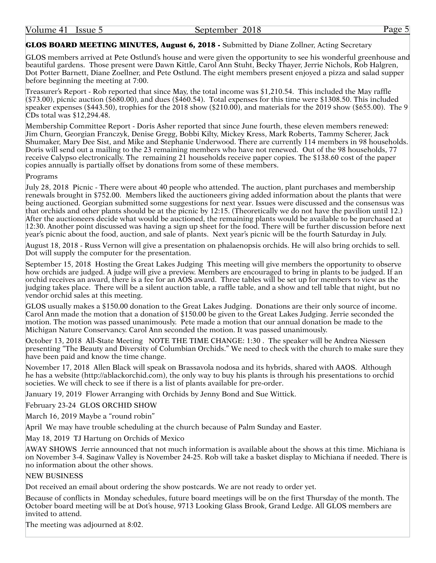#### GLOS BOARD MEETING MINUTES, August 6, 2018 - Submitted by Diane Zollner, Acting Secretary

GLOS members arrived at Pete Ostlund's house and were given the opportunity to see his wonderful greenhouse and beautiful gardens. Those present were Dawn Kittle, Carol Ann Stuht, Becky Thayer, Jerrie Nichols, Rob Halgren, Dot Potter Barnett, Diane Zoellner, and Pete Ostlund. The eight members present enjoyed a pizza and salad supper before beginning the meeting at 7:00.

Treasurer's Report - Rob reported that since May, the total income was \$1,210.54. This included the May raffle  $($73.00)$ , picnic auction  $($680.00)$ , and dues  $($460.54)$ . Total expenses for this time were \$1308.50. This included speaker expenses (\$443.50), trophies for the 2018 show (\$210.00), and materials for the 2019 show (\$655.00). The 9 CDs total was \$12,294.48.

Membership Committee Report - Doris Asher reported that since June fourth, these eleven members renewed: Jim Churn, Georgian Franczyk, Denise Gregg, Bobbi Kilty, Mickey Kress, Mark Roberts, Tammy Scherer, Jack Shumaker, Mary Dee Sist, and Mike and Stephanie Underwood. There are currently 114 members in 98 households. Doris will send out a mailing to the 23 remaining members who have not renewed. Out of the 98 households, 77 receive Calypso electronically. The remaining 21 households receive paper copies. The \$138.60 cost of the paper copies annually is partially offset by donations from some of these members.

#### Programs

July 28, 2018 Picnic - There were about 40 people who attended. The auction, plant purchases and membership renewals brought in \$752.00. Members liked the auctioneers giving added information about the plants that were being auctioned. Georgian submitted some suggestions for next year. Issues were discussed and the consensus was that orchids and other plants should be at the picnic by 12:15. (Theoretically we do not have the pavilion until 12.) After the auctioneers decide what would be auctioned, the remaining plants would be available to be purchased at 12:30. Another point discussed was having a sign up sheet for the food. There will be further discussion before next year's picnic about the food, auction, and sale of plants. Next year's picnic will be the fourth Saturday in July.

August 18, 2018 - Russ Vernon will give a presentation on phalaenopsis orchids. He will also bring orchids to sell. Dot will supply the computer for the presentation.

September 15, 2018 Hosting the Great Lakes Judging This meeting will give members the opportunity to observe how orchids are judged. A judge will give a preview. Members are encouraged to bring in plants to be judged. If an orchid receives an award, there is a fee for an AOS award. Three tables will be set up for members to view as the judging takes place. There will be a silent auction table, a raffle table, and a show and tell table that night, but no vendor orchid sales at this meeting.

GLOS usually makes a \$150.00 donation to the Great Lakes Judging. Donations are their only source of income. Carol Ann made the motion that a donation of \$150.00 be given to the Great Lakes Judging. Jerrie seconded the motion. The motion was passed unanimously. Pete made a motion that our annual donation be made to the Michigan Nature Conservancy. Carol Ann seconded the motion. It was passed unanimously.

October 13, 2018 All-State Meeting NOTE THE TIME CHANGE: 1:30 . The speaker will be Andrea Niessen presenting "The Beauty and Diversity of Columbian Orchids." We need to check with the church to make sure they have been paid and know the time change.

November 17, 2018 Allen Black will speak on Brassavola nodosa and its hybrids, shared with AAOS. Although he has a website [\(http://ablackorchid.com\)](http://ablackorchid.com), the only way to buy his plants is through his presentations to orchid societies. We will check to see if there is a list of plants available for pre-order.

January 19, 2019 Flower Arranging with Orchids by Jenny Bond and Sue Wittick.

February 23-24 GLOS ORCHID SHOW

March 16, 2019 Maybe a "round robin"

April We may have trouble scheduling at the church because of Palm Sunday and Easter.

May 18, 2019 TJ Hartung on Orchids of Mexico

AWAY SHOWS Jerrie announced that not much information is available about the shows at this time. Michiana is on November 3-4. Saginaw Valley is November 24-25. Rob will take a basket display to Michiana if needed. There is no information about the other shows.

#### NEW BUSINESS

Dot received an email about ordering the show postcards. We are not ready to order yet.

Because of conflicts in Monday schedules, future board meetings will be on the first Thursday of the month. The October board meeting will be at Dot's house, 9713 Looking Glass Brook, Grand Ledge. All GLOS members are invited to attend.

The meeting was adjourned at 8:02.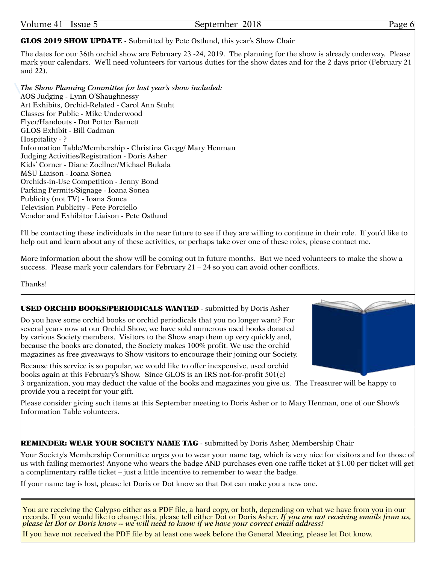#### Page 6

#### GLOS 2019 SHOW UPDATE - Submitted by Pete Ostlund, this year's Show Chair

The dates for our 36th orchid show are February 23 -24, 2019. The planning for the show is already underway. Please mark your calendars. We'll need volunteers for various duties for the show dates and for the 2 days prior (February 21 and 22).

*The Show Planning Committee for last year's show included:* AOS Judging - Lynn O'Shaughnessy Art Exhibits, Orchid-Related - Carol Ann Stuht Classes for Public - Mike Underwood Flyer/Handouts - Dot Potter Barnett GLOS Exhibit - Bill Cadman Hospitality - ? Information Table/Membership - Christina Gregg/ Mary Henman Judging Activities/Registration - Doris Asher Kids' Corner - Diane Zoellner/Michael Bukala MSU Liaison - Ioana Sonea Orchids-in-Use Competition - Jenny Bond Parking Permits/Signage - Ioana Sonea Publicity (not TV) - Ioana Sonea Television Publicity - Pete Porciello Vendor and Exhibitor Liaison - Pete Ostlund

I'll be contacting these individuals in the near future to see if they are willing to continue in their role. If you'd like to help out and learn about any of these activities, or perhaps take over one of these roles, please contact me.

More information about the show will be coming out in future months. But we need volunteers to make the show a success. Please mark your calendars for February  $21 - 24$  so you can avoid other conflicts.

Thanks!

#### USED ORCHID BOOKS/PERIODICALS WANTED - submitted by Doris Asher

Do you have some orchid books or orchid periodicals that you no longer want? For several years now at our Orchid Show, we have sold numerous used books donated by various Society members. Visitors to the Show snap them up very quickly and, because the books are donated, the Society makes 100% profit. We use the orchid magazines as free giveaways to Show visitors to encourage their joining our Society.

Because this service is so popular, we would like to offer inexpensive, used orchid books again at this February's Show. Since GLOS is an IRS not-for-profit 501(c)

3 organization, you may deduct the value of the books and magazines you give us. The Treasurer will be happy to provide you a receipt for your gift.

Please consider giving such items at this September meeting to Doris Asher or to Mary Henman, one of our Show's Information Table volunteers.

#### REMINDER: WEAR YOUR SOCIETY NAME TAG - submitted by Doris Asher, Membership Chair

Your Society's Membership Committee urges you to wear your name tag, which is very nice for visitors and for those of us with failing memories! Anyone who wears the badge AND purchases even one raffle ticket at \$1.00 per ticket will get a complimentary raffle ticket – just a little incentive to remember to wear the badge.

If your name tag is lost, please let Doris or Dot know so that Dot can make you a new one.

You are receiving the Calypso either as a PDF file, a hard copy, or both, depending on what we have from you in our records. If you would like to change this, please tell either Dot or Doris Asher. If you are not receiving emails from us, *please let Dot or Doris know -- we will need to know if we have your correct email address!*

If you have not received the PDF file by at least one week before the General Meeting, please let Dot know.

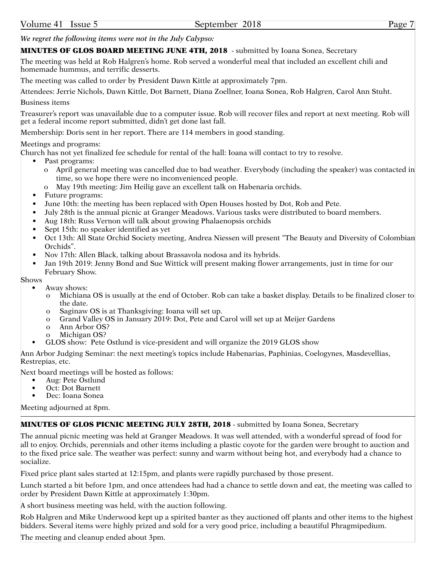*We regret the following items were not in the July Calypso:*

#### MINUTES OF GLOS BOARD MEETING JUNE 4TH, 2018 - submitted by Ioana Sonea, Secretary

The meeting was held at Rob Halgren's home. Rob served a wonderful meal that included an excellent chili and homemade hummus, and terrific desserts.

The meeting was called to order by President Dawn Kittle at approximately 7pm.

Attendees: Jerrie Nichols, Dawn Kittle, Dot Barnett, Diana Zoellner, Ioana Sonea, Rob Halgren, Carol Ann Stuht. Business items

Treasurer's report was unavailable due to a computer issue. Rob will recover files and report at next meeting. Rob will get a federal income report submitted, didn't get done last fall.

Membership: Doris sent in her report. There are 114 members in good standing.

#### Meetings and programs:

Church has not yet finalized fee schedule for rental of the hall: Ioana will contact to try to resolve.

- Past programs:
	- o April general meeting was cancelled due to bad weather. Everybody (including the speaker) was contacted in time, so we hope there were no inconvenienced people.
- o May 19th meeting: Jim Heilig gave an excellent talk on Habenaria orchids.
- Future programs:
- June 10th: the meeting has been replaced with Open Houses hosted by Dot, Rob and Pete.
- July 28th is the annual picnic at Granger Meadows. Various tasks were distributed to board members.
- Aug 18th: Russ Vernon will talk about growing Phalaenopsis orchids
- Sept 15th: no speaker identified as yet
- Oct 13th: All State Orchid Society meeting, Andrea Niessen will present "The Beauty and Diversity of Colombian Orchids".
- Nov 17th: Allen Black, talking about Brassavola nodosa and its hybrids.
- Jan 19th 2019: Jenny Bond and Sue Wittick will present making flower arrangements, just in time for our February Show.

Shows

- Away shows:
	- o Michiana OS is usually at the end of October. Rob can take a basket display. Details to be finalized closer to the date.
	- o Saginaw OS is at Thanksgiving: Ioana will set up.
	- o Grand Valley OS in January 2019: Dot, Pete and Carol will set up at Meijer Gardens
	- o Ann Arbor OS?
	- o Michigan OS?
- GLOS show: Pete Ostlund is vice-president and will organize the 2019 GLOS show

Ann Arbor Judging Seminar: the next meeting's topics include Habenarias, Paphinias, Coelogynes, Masdevellias, Restrepias, etc.

Next board meetings will be hosted as follows:

- Aug: Pete Ostlund
- Oct: Dot Barnett
- Dec: Ioana Sonea

Meeting adjourned at 8pm.

#### MINUTES OF GLOS PICNIC MEETING JULY 28TH, 2018 - submitted by Ioana Sonea, Secretary

The annual picnic meeting was held at Granger Meadows. It was well attended, with a wonderful spread of food for all to enjoy. Orchids, perennials and other items including a plastic coyote for the garden were brought to auction and to the fixed price sale. The weather was perfect: sunny and warm without being hot, and everybody had a chance to socialize.

Fixed price plant sales started at 12:15pm, and plants were rapidly purchased by those present.

Lunch started a bit before 1pm, and once attendees had had a chance to settle down and eat, the meeting was called to order by President Dawn Kittle at approximately 1:30pm.

A short business meeting was held, with the auction following.

Rob Halgren and Mike Underwood kept up a spirited banter as they auctioned off plants and other items to the highest bidders. Several items were highly prized and sold for a very good price, including a beautiful Phragmipedium.

The meeting and cleanup ended about 3pm.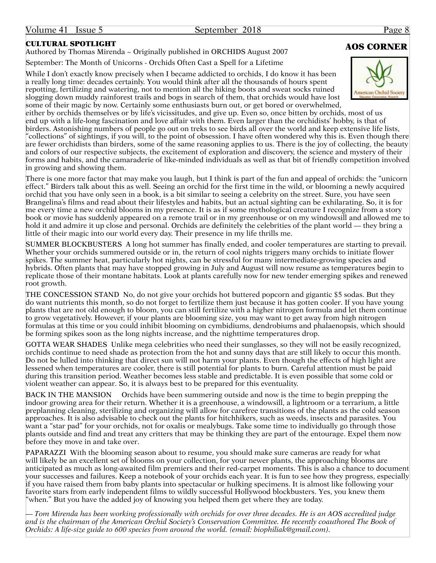### CULTURAL SPOTLIGHT

Authored by Thomas Mirenda ~ Originally published in ORCHIDS August 2007

September: The Month of Unicorns - Orchids Often Cast a Spell for a Lifetime

While I don't exactly know precisely when I became addicted to orchids, I do know it has been a really long time: decades certainly. You would think after all the thousands of hours spent repotting, fertilizing and watering, not to mention all the hiking boots and sweat socks ruined slogging down muddy rainforest trails and bogs in search of them, that orchids would have lost some of their magic by now. Certainly some enthusiasts burn out, or get bored or overwhelmed,



either by orchids themselves or by life's vicissitudes, and give up. Even so, once bitten by orchids, most of us end up with a life-long fascination and love affair with them. Even larger than the orchidists' hobby, is that of birders. Astonishing numbers of people go out on treks to see birds all over the world and keep extensive life lists, "collections" of sightings, if you will, to the point of obsession. I have often wondered why this is. Even though there are fewer orchidists than birders, some of the same reasoning applies to us. There is the joy of collecting, the beauty and colors of our respective subjects, the excitement of exploration and discovery, the science and mystery of their forms and habits, and the camaraderie of like-minded individuals as well as that bit of friendly competition involved in growing and showing them.

There is one more factor that may make you laugh, but I think is part of the fun and appeal of orchids: the "unicorn effect." Birders talk about this as well. Seeing an orchid for the first time in the wild, or blooming a newly acquired orchid that you have only seen in a book, is a bit similar to seeing a celebrity on the street. Sure, you have seen Brangelina's films and read about their lifestyles and habits, but an actual sighting can be exhilarating. So, it is for me every time a new orchid blooms in my presence. It is as if some mythological creature I recognize from a story book or movie has suddenly appeared on a remote trail or in my greenhouse or on my windowsill and allowed me to hold it and admire it up close and personal. Orchids are definitely the celebrities of the plant world — they bring a little of their magic into our world every day. Their presence in my life thrills me.

SUMMER BLOCKBUSTERS A long hot summer has finally ended, and cooler temperatures are starting to prevail. Whether your orchids summered outside or in, the return of cool nights triggers many orchids to initiate flower spikes. The summer heat, particularly hot nights, can be stressful for many intermediate-growing species and hybrids. Often plants that may have stopped growing in July and August will now resume as temperatures begin to replicate those of their montane habitats. Look at plants carefully now for new tender emerging spikes and renewed root growth.

THE CONCESSION STAND No, do not give your orchids hot buttered popcorn and gigantic \$5 sodas. But they do want nutrients this month, so do not forget to fertilize them just because it has gotten cooler. If you have young plants that are not old enough to bloom, you can still fertilize with a higher nitrogen formula and let them continue to grow vegetatively. However, if your plants are blooming size, you may want to get away from high nitrogen formulas at this time or you could inhibit blooming on cymbidiums, dendrobiums and phalaenopsis, which should be forming spikes soon as the long nights increase, and the nighttime temperatures drop.

GOTTA WEAR SHADES Unlike mega celebrities who need their sunglasses, so they will not be easily recognized, orchids continue to need shade as protection from the hot and sunny days that are still likely to occur this month. Do not be lulled into thinking that direct sun will not harm your plants. Even though the effects of high light are lessened when temperatures are cooler, there is still potential for plants to burn. Careful attention must be paid during this transition period. Weather becomes less stable and predictable. It is even possible that some cold or violent weather can appear. So, it is always best to be prepared for this eventuality.

BACK IN THE MANSION Orchids have been summering outside and now is the time to begin prepping the indoor growing area for their return. Whether it is a greenhouse, a windowsill, a lightroom or a terrarium, a little preplanning cleaning, sterilizing and organizing will allow for carefree transitions of the plants as the cold season approaches. It is also advisable to check out the plants for hitchhikers, such as weeds, insects and parasites. You want a "star pad" for your orchids, not for oxalis or mealybugs. Take some time to individually go through those plants outside and find and treat any critters that may be thinking they are part of the entourage. Expel them now before they move in and take over.

PAPARAZZI With the blooming season about to resume, you should make sure cameras are ready for what will likely be an excellent set of blooms on your collection, for your newer plants, the approaching blooms are anticipated as much as long-awaited film premiers and their red-carpet moments. This is also a chance to document your successes and failures. Keep a notebook of your orchids each year. It is fun to see how they progress, especially if you have raised them from baby plants into spectacular or hulking specimens. It is almost like following your favorite stars from early independent films to wildly successful Hollywood blockbusters. Yes, you knew them "when." But you have the added joy of knowing you helped them get where they are today.

— *Tom Mirenda has been working professionally with orchids for over three decades. He is an AOS accredited judge and is the chairman of the American Orchid Society's Conservation Committee. He recently coauthored The Book of Orchids: A life-size guide to 600 species from around the world. (email: [biophiliak@gmail.com\)](mailto:biophiliak@gmail.com).*

# AOS CORNER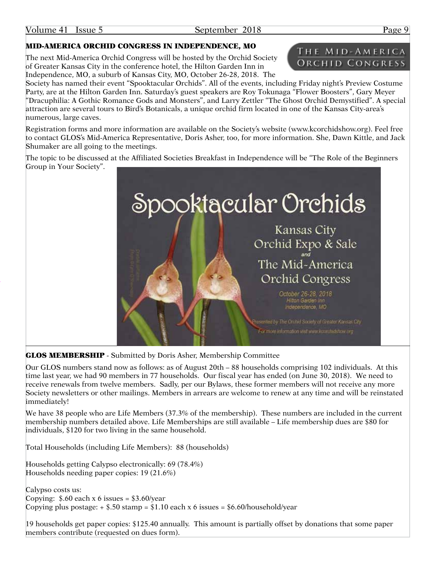#### MID-AMERICA ORCHID CONGRESS IN INDEPENDENCE, MO

The next Mid-America Orchid Congress will be hosted by the Orchid Society of Greater Kansas City in the conference hotel, the Hilton Garden Inn in Independence, MO, a suburb of Kansas City, MO, October 26-28, 2018. The

Society has named their event "Spooktacular Orchids". All of the events, including Friday night's Preview Costume Party, are at the Hilton Garden Inn. Saturday's guest speakers are Roy Tokunaga "Flower Boosters", Gary Meyer "Dracuphilia: A Gothic Romance Gods and Monsters", and Larry Zettler "The Ghost Orchid Demystified". A special attraction are several tours to Bird's Botanicals, a unique orchid firm located in one of the Kansas City-area's numerous, large caves.

Registration forms and more information are available on the Society's website ([www.kcorchidshow.org\)](www.kcorchidshow.org). Feel free to contact GLOS's Mid-America Representative, Doris Asher, too, for more information. She, Dawn Kittle, and Jack Shumaker are all going to the meetings.

The topic to be discussed at the Affiliated Societies Breakfast in Independence will be "The Role of the Beginners Group in Your Society".



**GLOS MEMBERSHIP** - Submitted by Doris Asher, Membership Committee

Our GLOS numbers stand now as follows: as of August 20th – 88 households comprising 102 individuals. At this time last year, we had 90 members in 77 households. Our fiscal year has ended (on June 30, 2018). We need to receive renewals from twelve members. Sadly, per our Bylaws, these former members will not receive any more Society newsletters or other mailings. Members in arrears are welcome to renew at any time and will be reinstated immediately!

We have 38 people who are Life Members (37.3% of the membership). These numbers are included in the current membership numbers detailed above. Life Memberships are still available – Life membership dues are \$80 for individuals, \$120 for two living in the same household.

Total Households (including Life Members): 88 (households)

Households getting Calypso electronically: 69 (78.4%) Households needing paper copies: 19 (21.6%)

Calypso costs us: Copying:  $$.60$  each x 6 issues =  $$3.60$ /year Copying plus postage:  $+$  \$.50 stamp = \$1.10 each x 6 issues = [\\$6.60/household/year](6.60/household/year)

19 households get paper copies: \$125.40 annually. This amount is partially offset by donations that some paper members contribute (requested on dues form).

# THE MID-AMERICA ORCHID CONGRESS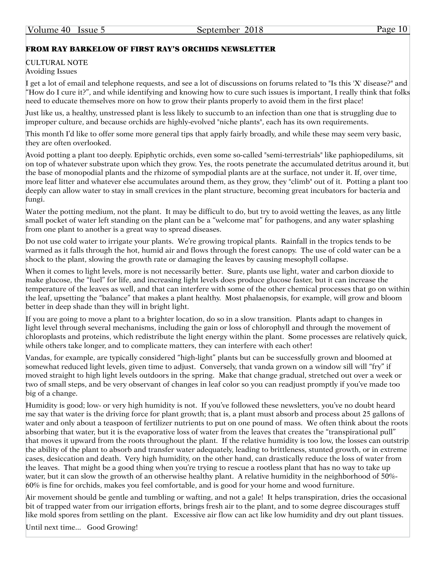## FROM RAY BARKELOW OF FIRST RAY'S ORCHIDS NEWSLETTER

#### CULTURAL NOTE Avoiding Issues

I get a lot of email and telephone requests, and see a lot of discussions on forums related to "Is this 'X' disease?" and "How do I cure it?", and while identifying and knowing how to cure such issues is important, I really think that folks need to educate themselves more on how to grow their plants properly to avoid them in the first place!

Just like us, a healthy, unstressed plant is less likely to succumb to an infection than one that is struggling due to improper culture, and because orchids are highly-evolved "niche plants", each has its own requirements.

This month I'd like to offer some more general tips that apply fairly broadly, and while these may seem very basic, they are often overlooked.

Avoid potting a plant too deeply. Epiphytic orchids, even some so-called "semi-terrestrials" like paphiopedilums, sit on top of whatever substrate upon which they grow. Yes, the roots penetrate the accumulated detritus around it, but the base of monopodial plants and the rhizome of sympodial plants are at the surface, not under it. If, over time, more leaf litter and whatever else accumulates around them, as they grow, they "climb" out of it. Potting a plant too deeply can allow water to stay in small crevices in the plant structure, becoming great incubators for bacteria and fungi.

Water the potting medium, not the plant. It may be difficult to do, but try to avoid wetting the leaves, as any little small pocket of water left standing on the plant can be a "welcome mat" for pathogens, and any water splashing from one plant to another is a great way to spread diseases.

Do not use cold water to irrigate your plants. We're growing tropical plants. Rainfall in the tropics tends to be warmed as it falls through the hot, humid air and flows through the forest canopy. The use of cold water can be a shock to the plant, slowing the growth rate or damaging the leaves by causing mesophyll collapse.

When it comes to light levels, more is not necessarily better. Sure, plants use light, water and carbon dioxide to make glucose, the "fuel" for life, and increasing light levels does produce glucose faster, but it can increase the temperature of the leaves as well, and that can interfere with some of the other chemical processes that go on within the leaf, upsetting the "balance" that makes a plant healthy. Most phalaenopsis, for example, will grow and bloom better in deep shade than they will in bright light.

If you are going to move a plant to a brighter location, do so in a slow transition. Plants adapt to changes in light level through several mechanisms, including the gain or loss of chlorophyll and through the movement of chloroplasts and proteins, which redistribute the light energy within the plant. Some processes are relatively quick, while others take longer, and to complicate matters, they can interfere with each other!

Vandas, for example, are typically considered "high-light" plants but can be successfully grown and bloomed at somewhat reduced light levels, given time to adjust. Conversely, that vanda grown on a window sill will "fry" if moved straight to high light levels outdoors in the spring. Make that change gradual, stretched out over a week or two of small steps, and be very observant of changes in leaf color so you can readjust promptly if you've made too big of a change.

Humidity is good; low- or very high humidity is not. If you've followed these newsletters, you've no doubt heard me say that water is the driving force for plant growth; that is, a plant must absorb and process about 25 gallons of water and only about a teaspoon of fertilizer nutrients to put on one pound of mass. We often think about the roots absorbing that water, but it is the evaporative loss of water from the leaves that creates the "transpirational pull" that moves it upward from the roots throughout the plant. If the relative humidity is too low, the losses can outstrip the ability of the plant to absorb and transfer water adequately, leading to brittleness, stunted growth, or in extreme cases, desiccation and death. Very high humidity, on the other hand, can drastically reduce the loss of water from the leaves. That might be a good thing when you're trying to rescue a rootless plant that has no way to take up water, but it can slow the growth of an otherwise healthy plant. A relative humidity in the neighborhood of 50%- 60% is fine for orchids, makes you feel comfortable, and is good for your home and wood furniture.

Air movement should be gentle and tumbling or wafting, and not a gale! It helps transpiration, dries the occasional bit of trapped water from our irrigation efforts, brings fresh air to the plant, and to some degree discourages stuff like mold spores from settling on the plant. Excessive air flow can act like low humidity and dry out plant tissues.

Until next time... Good Growing!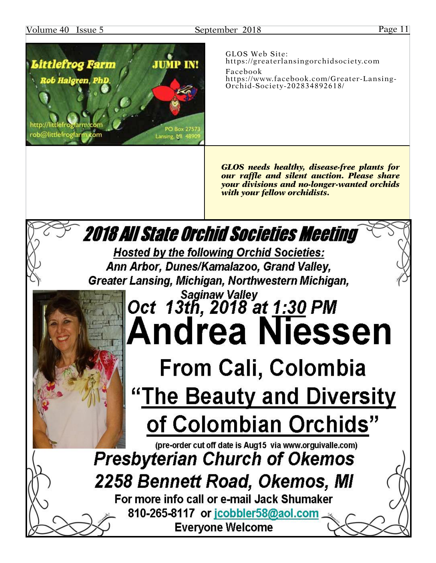### Volume 40 Issue 5 September 2018 Page 11



GLOS Web Site: [https://greaterlansingorchidsociety.com](http://greaterlansingorchidsociety.com) Facebook [https://www.facebook.com/Greater-](https://www.facebook.com/Greater)Lansing-Orchid-Society-202834892618/

*GLOS needs healthy, disease-free plants for our raffle and silent auction. Please share your divisions and no-longer-wanted orchids with your fellow orchidists.*